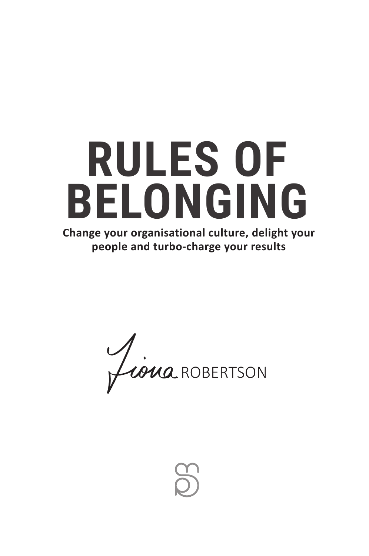

Siena ROBERTSON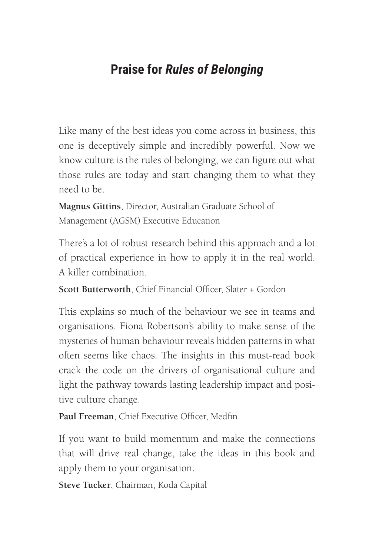## **Praise for** *Rules of Belonging*

Like many of the best ideas you come across in business, this one is deceptively simple and incredibly powerful. Now we know culture is the rules of belonging, we can figure out what those rules are today and start changing them to what they need to be.

**Magnus Gittins**, Director, Australian Graduate School of Management (AGSM) Executive Education

There's a lot of robust research behind this approach and a lot of practical experience in how to apply it in the real world. A killer combination.

**Scott Butterworth**, Chief Financial Officer, Slater + Gordon

This explains so much of the behaviour we see in teams and organisations. Fiona Robertson's ability to make sense of the mysteries of human behaviour reveals hidden patterns in what often seems like chaos. The insights in this must-read book crack the code on the drivers of organisational culture and light the pathway towards lasting leadership impact and positive culture change.

**Paul Freeman**, Chief Executive Officer, Medfin

If you want to build momentum and make the connections that will drive real change, take the ideas in this book and apply them to your organisation.

**Steve Tucker**, Chairman, Koda Capital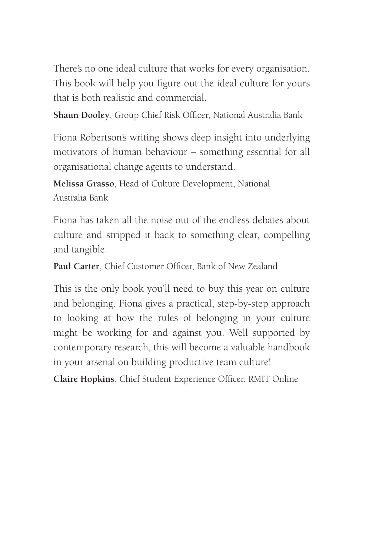There's no one ideal culture that works for every organisation. This book will help you figure out the ideal culture for yours that is both realistic and commercial.

**Shaun Dooley**, Group Chief Risk Officer, National Australia Bank

Fiona Robertson's writing shows deep insight into underlying motivators of human behaviour – something essential for all organisational change agents to understand.

**Melissa Grasso**, Head of Culture Development, National Australia Bank

Fiona has taken all the noise out of the endless debates about culture and stripped it back to something clear, compelling and tangible.

**Paul Carter**, Chief Customer Officer, Bank of New Zealand

This is the only book you'll need to buy this year on culture and belonging. Fiona gives a practical, step-by-step approach to looking at how the rules of belonging in your culture might be working for and against you. Well supported by contemporary research, this will become a valuable handbook in your arsenal on building productive team culture!

**Claire Hopkins**, Chief Student Experience Officer, RMIT Online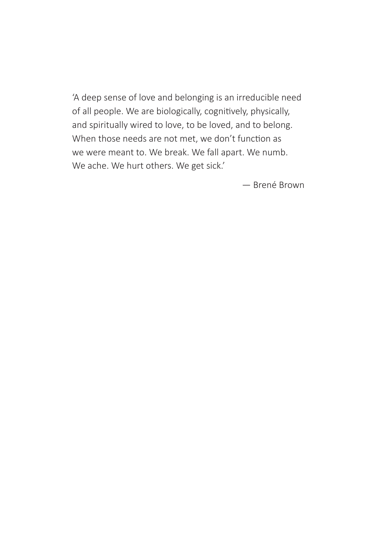'A deep sense of love and belonging is an irreducible need of all people. We are biologically, cognitively, physically, and spiritually wired to love, to be loved, and to belong. When those needs are not met, we don't function as we were meant to. We break. We fall apart. We numb. We ache. We hurt others. We get sick.'

— Brené Brown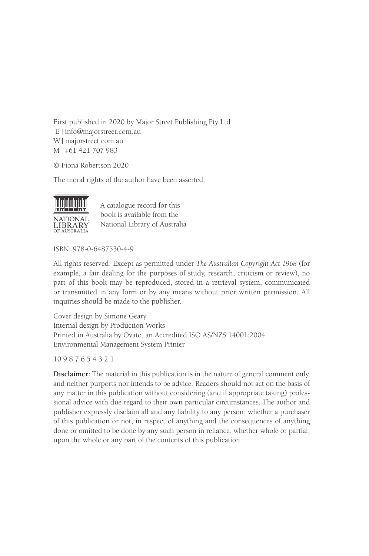First published in 2020 by Major Street Publishing Pty Ltd E | info@majorstreet.com.au W | majorstreet.com.au M | +61 421 707 983

© Fiona Robertson 2020

The moral rights of the author have been asserted.



A catalogue record for this book is available from the National Library of Australia

ISBN: 978-0-6487530-4-9

All rights reserved. Except as permitted under *The Australian Copyright Act 1968* (for example, a fair dealing for the purposes of study, research, criticism or review), no part of this book may be reproduced, stored in a retrieval system, communicated or transmitted in any form or by any means without prior written permission. All inquiries should be made to the publisher.

Cover design by Simone Geary Internal design by Production Works Printed in Australia by Ovato, an Accredited ISO AS/NZS 14001:2004 Environmental Management System Printer

10 9 8 7 6 5 4 3 2 1

**Disclaimer:** The material in this publication is in the nature of general comment only, and neither purports nor intends to be advice. Readers should not act on the basis of any matter in this publication without considering (and if appropriate taking) professional advice with due regard to their own particular circumstances. The author and publisher expressly disclaim all and any liability to any person, whether a purchaser of this publication or not, in respect of anything and the consequences of anything done or omitted to be done by any such person in reliance, whether whole or partial, upon the whole or any part of the contents of this publication.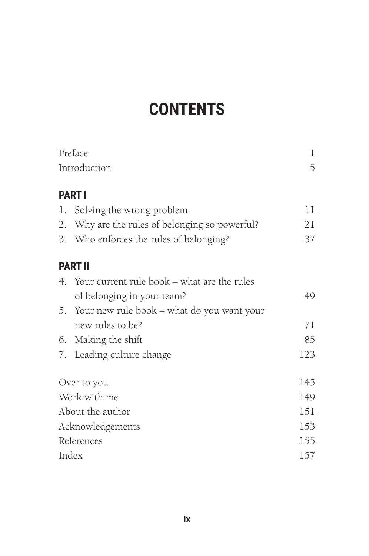# **CONTENTS**

| Preface<br>Introduction |                                                | 1<br>5 |
|-------------------------|------------------------------------------------|--------|
|                         |                                                |        |
|                         | 1. Solving the wrong problem                   | 11     |
|                         | 2. Why are the rules of belonging so powerful? | 21     |
|                         | 3. Who enforces the rules of belonging?        | 37     |
|                         | <b>PART II</b>                                 |        |
|                         | 4. Your current rule book – what are the rules |        |
|                         | of belonging in your team?                     | 49     |
|                         | 5. Your new rule book – what do you want your  |        |
|                         | new rules to be?                               | 71     |
|                         | 6. Making the shift                            | 85     |
|                         | 7. Leading culture change                      | 123    |
| Over to you             |                                                | 145    |
| Work with me            |                                                | 149    |
| About the author        |                                                | 151    |
| Acknowledgements        |                                                | 153    |
| References              |                                                | 155    |
| Index                   |                                                | 157    |
|                         |                                                |        |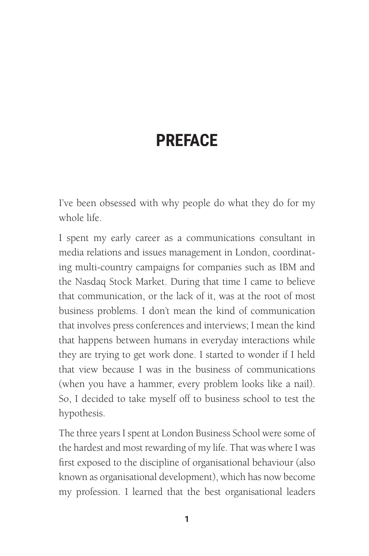## **PREFACE**

I've been obsessed with why people do what they do for my whole life.

I spent my early career as a communications consultant in media relations and issues management in London, coordinating multi-country campaigns for companies such as IBM and the Nasdaq Stock Market. During that time I came to believe that communication, or the lack of it, was at the root of most business problems. I don't mean the kind of communication that involves press conferences and interviews; I mean the kind that happens between humans in everyday interactions while they are trying to get work done. I started to wonder if I held that view because I was in the business of communications (when you have a hammer, every problem looks like a nail). So, I decided to take myself off to business school to test the hypothesis.

The three years I spent at London Business School were some of the hardest and most rewarding of my life. That was where I was first exposed to the discipline of organisational behaviour (also known as organisational development), which has now become my profession. I learned that the best organisational leaders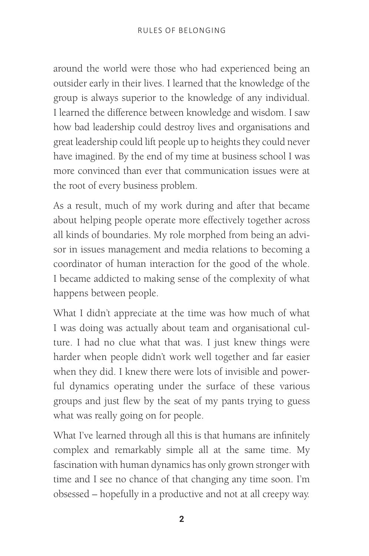around the world were those who had experienced being an outsider early in their lives. I learned that the knowledge of the group is always superior to the knowledge of any individual. I learned the difference between knowledge and wisdom. I saw how bad leadership could destroy lives and organisations and great leadership could lift people up to heights they could never have imagined. By the end of my time at business school I was more convinced than ever that communication issues were at the root of every business problem.

As a result, much of my work during and after that became about helping people operate more effectively together across all kinds of boundaries. My role morphed from being an advisor in issues management and media relations to becoming a coordinator of human interaction for the good of the whole. I became addicted to making sense of the complexity of what happens between people.

What I didn't appreciate at the time was how much of what I was doing was actually about team and organisational culture. I had no clue what that was. I just knew things were harder when people didn't work well together and far easier when they did. I knew there were lots of invisible and powerful dynamics operating under the surface of these various groups and just flew by the seat of my pants trying to guess what was really going on for people.

What I've learned through all this is that humans are infinitely complex and remarkably simple all at the same time. My fascination with human dynamics has only grown stronger with time and I see no chance of that changing any time soon. I'm obsessed – hopefully in a productive and not at all creepy way.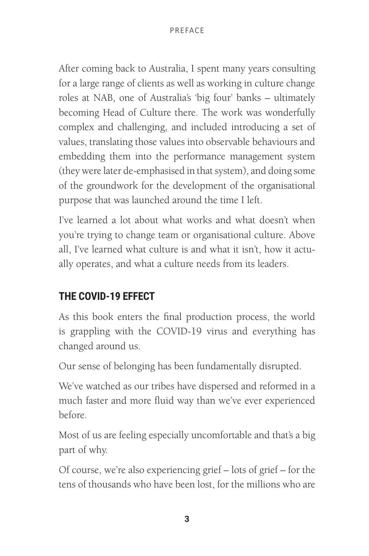After coming back to Australia, I spent many years consulting for a large range of clients as well as working in culture change roles at NAB, one of Australia's 'big four' banks – ultimately becoming Head of Culture there. The work was wonderfully complex and challenging, and included introducing a set of values, translating those values into observable behaviours and embedding them into the performance management system (they were later de-emphasised in that system), and doing some of the groundwork for the development of the organisational purpose that was launched around the time I left.

I've learned a lot about what works and what doesn't when you're trying to change team or organisational culture. Above all, I've learned what culture is and what it isn't, how it actually operates, and what a culture needs from its leaders.

## **THE COVID-19 EFFECT**

As this book enters the final production process, the world is grappling with the COVID-19 virus and everything has changed around us.

Our sense of belonging has been fundamentally disrupted.

We've watched as our tribes have dispersed and reformed in a much faster and more fluid way than we've ever experienced before.

Most of us are feeling especially uncomfortable and that's a big part of why.

Of course, we're also experiencing grief – lots of grief – for the tens of thousands who have been lost, for the millions who are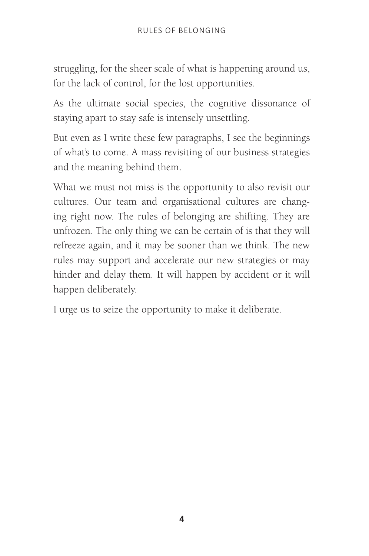struggling, for the sheer scale of what is happening around us, for the lack of control, for the lost opportunities.

As the ultimate social species, the cognitive dissonance of staying apart to stay safe is intensely unsettling.

But even as I write these few paragraphs, I see the beginnings of what's to come. A mass revisiting of our business strategies and the meaning behind them.

What we must not miss is the opportunity to also revisit our cultures. Our team and organisational cultures are changing right now. The rules of belonging are shifting. They are unfrozen. The only thing we can be certain of is that they will refreeze again, and it may be sooner than we think. The new rules may support and accelerate our new strategies or may hinder and delay them. It will happen by accident or it will happen deliberately.

I urge us to seize the opportunity to make it deliberate.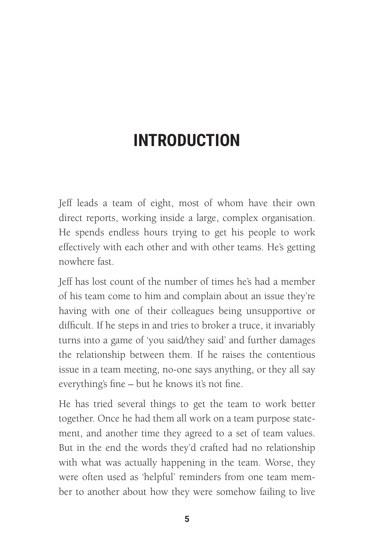# **INTRODUCTION**

Jeff leads a team of eight, most of whom have their own direct reports, working inside a large, complex organisation. He spends endless hours trying to get his people to work effectively with each other and with other teams. He's getting nowhere fast.

Jeff has lost count of the number of times he's had a member of his team come to him and complain about an issue they're having with one of their colleagues being unsupportive or difficult. If he steps in and tries to broker a truce, it invariably turns into a game of 'you said/they said' and further damages the relationship between them. If he raises the contentious issue in a team meeting, no-one says anything, or they all say everything's fine – but he knows it's not fine.

He has tried several things to get the team to work better together. Once he had them all work on a team purpose statement, and another time they agreed to a set of team values. But in the end the words they'd crafted had no relationship with what was actually happening in the team. Worse, they were often used as 'helpful' reminders from one team member to another about how they were somehow failing to live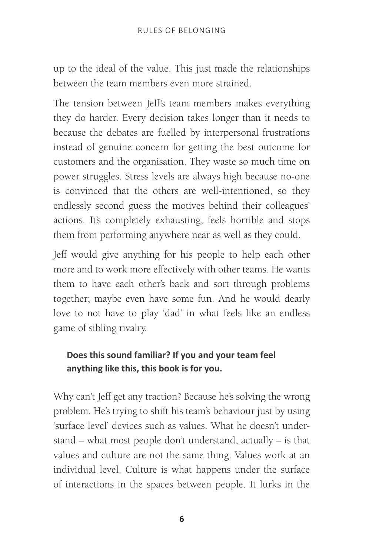up to the ideal of the value. This just made the relationships between the team members even more strained.

The tension between Jeff's team members makes everything they do harder. Every decision takes longer than it needs to because the debates are fuelled by interpersonal frustrations instead of genuine concern for getting the best outcome for customers and the organisation. They waste so much time on power struggles. Stress levels are always high because no-one is convinced that the others are well-intentioned, so they endlessly second guess the motives behind their colleagues' actions. It's completely exhausting, feels horrible and stops them from performing anywhere near as well as they could.

Jeff would give anything for his people to help each other more and to work more effectively with other teams. He wants them to have each other's back and sort through problems together; maybe even have some fun. And he would dearly love to not have to play 'dad' in what feels like an endless game of sibling rivalry.

#### **Does this sound familiar? If you and your team feel anything like this, this book is for you.**

Why can't Jeff get any traction? Because he's solving the wrong problem. He's trying to shift his team's behaviour just by using 'surface level' devices such as values. What he doesn't understand – what most people don't understand, actually – is that values and culture are not the same thing. Values work at an individual level. Culture is what happens under the surface of interactions in the spaces between people. It lurks in the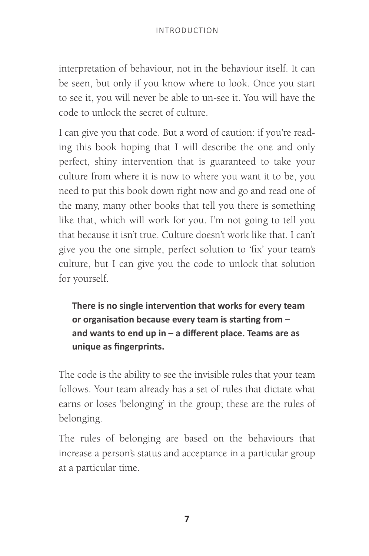interpretation of behaviour, not in the behaviour itself. It can be seen, but only if you know where to look. Once you start to see it, you will never be able to un-see it. You will have the code to unlock the secret of culture.

I can give you that code. But a word of caution: if you're reading this book hoping that I will describe the one and only perfect, shiny intervention that is guaranteed to take your culture from where it is now to where you want it to be, you need to put this book down right now and go and read one of the many, many other books that tell you there is something like that, which will work for you. I'm not going to tell you that because it isn't true. Culture doesn't work like that. I can't give you the one simple, perfect solution to 'fix' your team's culture, but I can give you the code to unlock that solution for yourself.

**There is no single intervention that works for every team or organisation because every team is starting from – and wants to end up in – a different place. Teams are as unique as fingerprints.**

The code is the ability to see the invisible rules that your team follows. Your team already has a set of rules that dictate what earns or loses 'belonging' in the group; these are the rules of belonging.

The rules of belonging are based on the behaviours that increase a person's status and acceptance in a particular group at a particular time.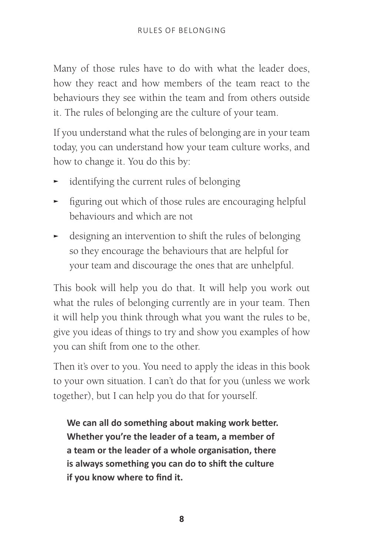Many of those rules have to do with what the leader does, how they react and how members of the team react to the behaviours they see within the team and from others outside it. The rules of belonging are the culture of your team.

If you understand what the rules of belonging are in your team today, you can understand how your team culture works, and how to change it. You do this by:

- identifying the current rules of belonging
- $\blacktriangleright$  figuring out which of those rules are encouraging helpful behaviours and which are not
- $\blacktriangleright$  designing an intervention to shift the rules of belonging so they encourage the behaviours that are helpful for your team and discourage the ones that are unhelpful.

This book will help you do that. It will help you work out what the rules of belonging currently are in your team. Then it will help you think through what you want the rules to be, give you ideas of things to try and show you examples of how you can shift from one to the other.

Then it's over to you. You need to apply the ideas in this book to your own situation. I can't do that for you (unless we work together), but I can help you do that for yourself.

**We can all do something about making work better. Whether you're the leader of a team, a member of a team or the leader of a whole organisation, there is always something you can do to shift the culture if you know where to find it.**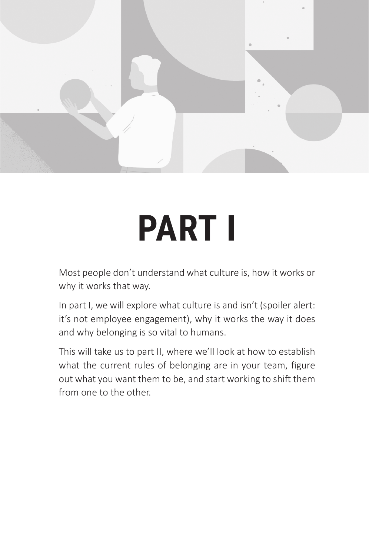

# **PART I**

Most people don't understand what culture is, how it works or why it works that way.

In part I, we will explore what culture is and isn't (spoiler alert: it's not employee engagement), why it works the way it does and why belonging is so vital to humans.

This will take us to part II, where we'll look at how to establish what the current rules of belonging are in your team, figure out what you want them to be, and start working to shift them from one to the other.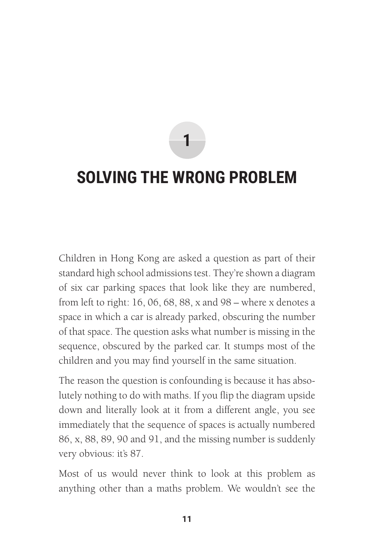**1**

## **SOLVING THE WRONG PROBLEM**

Children in Hong Kong are asked a question as part of their standard high school admissions test. They're shown a diagram of six car parking spaces that look like they are numbered, from left to right: 16, 06, 68, 88, x and 98 – where x denotes a space in which a car is already parked, obscuring the number of that space. The question asks what number is missing in the sequence, obscured by the parked car. It stumps most of the children and you may find yourself in the same situation.

The reason the question is confounding is because it has absolutely nothing to do with maths. If you flip the diagram upside down and literally look at it from a different angle, you see immediately that the sequence of spaces is actually numbered 86, x, 88, 89, 90 and 91, and the missing number is suddenly very obvious: it's 87.

Most of us would never think to look at this problem as anything other than a maths problem. We wouldn't see the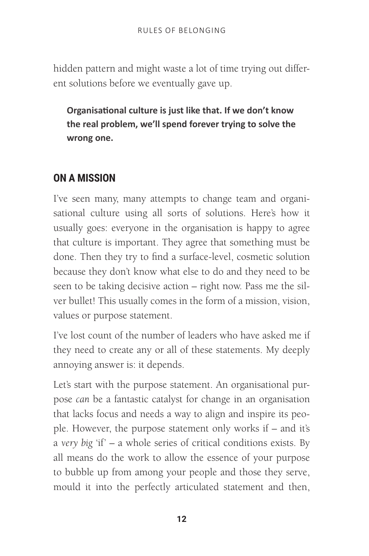hidden pattern and might waste a lot of time trying out different solutions before we eventually gave up.

**Organisational culture is just like that. If we don't know the real problem, we'll spend forever trying to solve the wrong one.**

## **ON A MISSION**

I've seen many, many attempts to change team and organisational culture using all sorts of solutions. Here's how it usually goes: everyone in the organisation is happy to agree that culture is important. They agree that something must be done. Then they try to find a surface-level, cosmetic solution because they don't know what else to do and they need to be seen to be taking decisive action – right now. Pass me the silver bullet! This usually comes in the form of a mission, vision, values or purpose statement.

I've lost count of the number of leaders who have asked me if they need to create any or all of these statements. My deeply annoying answer is: it depends.

Let's start with the purpose statement. An organisational purpose *can* be a fantastic catalyst for change in an organisation that lacks focus and needs a way to align and inspire its people. However, the purpose statement only works if – and it's a *very big* 'if' – a whole series of critical conditions exists. By all means do the work to allow the essence of your purpose to bubble up from among your people and those they serve, mould it into the perfectly articulated statement and then,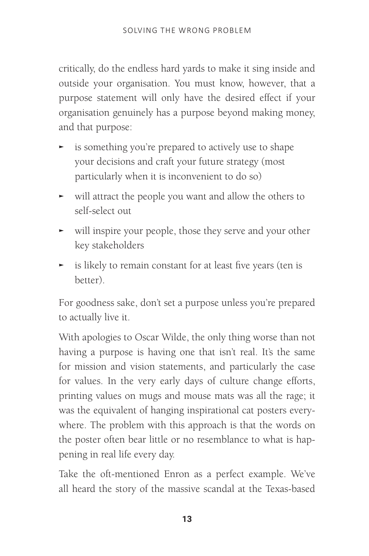critically, do the endless hard yards to make it sing inside and outside your organisation. You must know, however, that a purpose statement will only have the desired effect if your organisation genuinely has a purpose beyond making money, and that purpose:

- is something you're prepared to actively use to shape your decisions and craft your future strategy (most particularly when it is inconvenient to do so)
- $\blacktriangleright$  will attract the people you want and allow the others to self-select out
- $\blacktriangleright$  will inspire your people, those they serve and your other key stakeholders
- $\blacktriangleright$  is likely to remain constant for at least five years (ten is better).

For goodness sake, don't set a purpose unless you're prepared to actually live it.

With apologies to Oscar Wilde, the only thing worse than not having a purpose is having one that isn't real. It's the same for mission and vision statements, and particularly the case for values. In the very early days of culture change efforts, printing values on mugs and mouse mats was all the rage; it was the equivalent of hanging inspirational cat posters everywhere. The problem with this approach is that the words on the poster often bear little or no resemblance to what is happening in real life every day.

Take the oft-mentioned Enron as a perfect example. We've all heard the story of the massive scandal at the Texas-based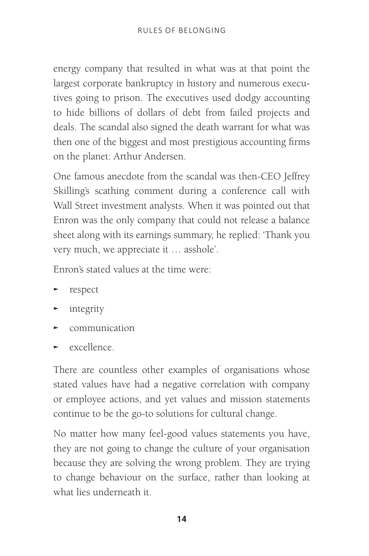energy company that resulted in what was at that point the largest corporate bankruptcy in history and numerous executives going to prison. The executives used dodgy accounting to hide billions of dollars of debt from failed projects and deals. The scandal also signed the death warrant for what was then one of the biggest and most prestigious accounting firms on the planet: Arthur Andersen.

One famous anecdote from the scandal was then-CEO Jeffrey Skilling's scathing comment during a conference call with Wall Street investment analysts. When it was pointed out that Enron was the only company that could not release a balance sheet along with its earnings summary, he replied: 'Thank you very much, we appreciate it … asshole'.

Enron's stated values at the time were:

- <sup>Ϝ</sup> respect
- $\blacktriangleright$  integrity
- $\blacktriangleright$  communication
- $\blacktriangleright$  excellence.

There are countless other examples of organisations whose stated values have had a negative correlation with company or employee actions, and yet values and mission statements continue to be the go-to solutions for cultural change.

No matter how many feel-good values statements you have, they are not going to change the culture of your organisation because they are solving the wrong problem. They are trying to change behaviour on the surface, rather than looking at what lies underneath it.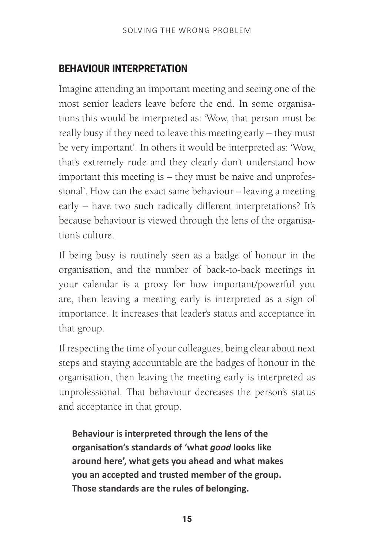## **BEHAVIOUR INTERPRETATION**

Imagine attending an important meeting and seeing one of the most senior leaders leave before the end. In some organisations this would be interpreted as: 'Wow, that person must be really busy if they need to leave this meeting early – they must be very important'. In others it would be interpreted as: 'Wow, that's extremely rude and they clearly don't understand how important this meeting is – they must be naive and unprofessional'. How can the exact same behaviour – leaving a meeting early – have two such radically different interpretations? It's because behaviour is viewed through the lens of the organisation's culture.

If being busy is routinely seen as a badge of honour in the organisation, and the number of back-to-back meetings in your calendar is a proxy for how important/powerful you are, then leaving a meeting early is interpreted as a sign of importance. It increases that leader's status and acceptance in that group.

If respecting the time of your colleagues, being clear about next steps and staying accountable are the badges of honour in the organisation, then leaving the meeting early is interpreted as unprofessional. That behaviour decreases the person's status and acceptance in that group.

**Behaviour is interpreted through the lens of the organisation's standards of 'what** *good* **looks like around here', what gets you ahead and what makes you an accepted and trusted member of the group. Those standards are the rules of belonging.**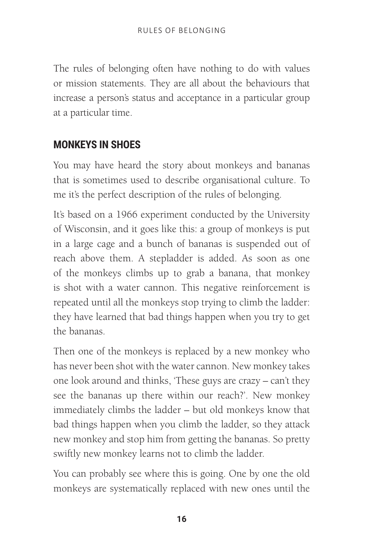The rules of belonging often have nothing to do with values or mission statements. They are all about the behaviours that increase a person's status and acceptance in a particular group at a particular time.

## **MONKEYS IN SHOES**

You may have heard the story about monkeys and bananas that is sometimes used to describe organisational culture. To me it's the perfect description of the rules of belonging.

It's based on a 1966 experiment conducted by the University of Wisconsin, and it goes like this: a group of monkeys is put in a large cage and a bunch of bananas is suspended out of reach above them. A stepladder is added. As soon as one of the monkeys climbs up to grab a banana, that monkey is shot with a water cannon. This negative reinforcement is repeated until all the monkeys stop trying to climb the ladder: they have learned that bad things happen when you try to get the bananas.

Then one of the monkeys is replaced by a new monkey who has never been shot with the water cannon. New monkey takes one look around and thinks, 'These guys are crazy – can't they see the bananas up there within our reach?'. New monkey immediately climbs the ladder – but old monkeys know that bad things happen when you climb the ladder, so they attack new monkey and stop him from getting the bananas. So pretty swiftly new monkey learns not to climb the ladder.

You can probably see where this is going. One by one the old monkeys are systematically replaced with new ones until the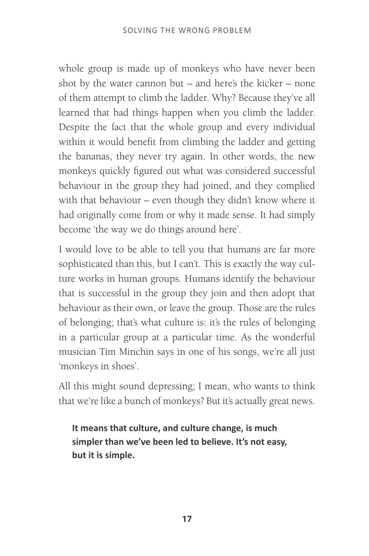whole group is made up of monkeys who have never been shot by the water cannon but – and here's the kicker – none of them attempt to climb the ladder. Why? Because they've all learned that bad things happen when you climb the ladder. Despite the fact that the whole group and every individual within it would benefit from climbing the ladder and getting the bananas, they never try again. In other words, the new monkeys quickly figured out what was considered successful behaviour in the group they had joined, and they complied with that behaviour – even though they didn't know where it had originally come from or why it made sense. It had simply become 'the way we do things around here'.

I would love to be able to tell you that humans are far more sophisticated than this, but I can't. This is exactly the way culture works in human groups. Humans identify the behaviour that is successful in the group they join and then adopt that behaviour as their own, or leave the group. Those are the rules of belonging; that's what culture is: it's the rules of belonging in a particular group at a particular time. As the wonderful musician Tim Minchin says in one of his songs, we're all just 'monkeys in shoes'.

All this might sound depressing; I mean, who wants to think that we're like a bunch of monkeys? But it's actually great news.

**It means that culture, and culture change, is much simpler than we've been led to believe. It's not easy, but it is simple.**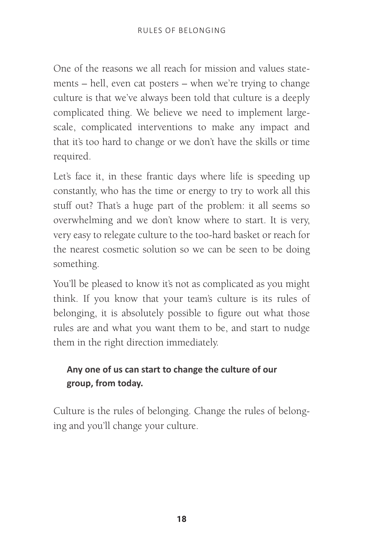One of the reasons we all reach for mission and values statements – hell, even cat posters – when we're trying to change culture is that we've always been told that culture is a deeply complicated thing. We believe we need to implement largescale, complicated interventions to make any impact and that it's too hard to change or we don't have the skills or time required.

Let's face it, in these frantic days where life is speeding up constantly, who has the time or energy to try to work all this stuff out? That's a huge part of the problem: it all seems so overwhelming and we don't know where to start. It is very, very easy to relegate culture to the too-hard basket or reach for the nearest cosmetic solution so we can be seen to be doing something.

You'll be pleased to know it's not as complicated as you might think. If you know that your team's culture is its rules of belonging, it is absolutely possible to figure out what those rules are and what you want them to be, and start to nudge them in the right direction immediately.

## **Any one of us can start to change the culture of our group, from today.**

Culture is the rules of belonging. Change the rules of belonging and you'll change your culture.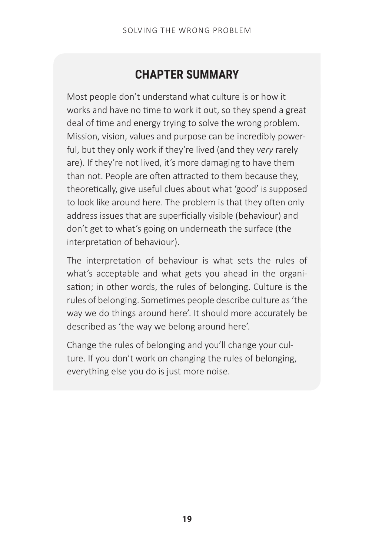## **CHAPTER SUMMARY**

Most people don't understand what culture is or how it works and have no time to work it out, so they spend a great deal of time and energy trying to solve the wrong problem. Mission, vision, values and purpose can be incredibly powerful, but they only work if they're lived (and they *very* rarely are). If they're not lived, it's more damaging to have them than not. People are often attracted to them because they, theoretically, give useful clues about what 'good' is supposed to look like around here. The problem is that they often only address issues that are superficially visible (behaviour) and don't get to what's going on underneath the surface (the interpretation of behaviour).

The interpretation of behaviour is what sets the rules of what's acceptable and what gets you ahead in the organisation; in other words, the rules of belonging. Culture is the rules of belonging. Sometimes people describe culture as 'the way we do things around here'. It should more accurately be described as 'the way we belong around here'.

Change the rules of belonging and you'll change your culture. If you don't work on changing the rules of belonging, everything else you do is just more noise.